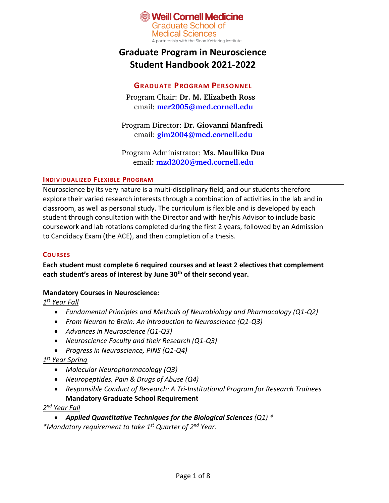

# **Graduate Program in Neuroscience Student Handbook 2021-2022**

# **GRADUATE PROGRAM PERSONNEL**

Program Chair: **Dr. M. Elizabeth Ross** email: **[mer2005@med.cornell.edu](mailto:mer2005@med.cornell.edu)**

Program Director: **Dr. Giovanni Manfredi** email: **[gim2004@med.cornell.edu](mailto:gim2004@med.cornell.edu)**

Program Administrator: **Ms. Maullika Dua** email**: [mzd2020@med.cornell.edu](mailto:ald2032@med.cornell.edu)**

## **INDIVIDUALIZED FLEXIBLE PROGRAM**

Neuroscience by its very nature is a multi-disciplinary field, and our students therefore explore their varied research interests through a combination of activities in the lab and in classroom, as well as personal study. The curriculum is flexible and is developed by each student through consultation with the Director and with her/his Advisor to include basic coursework and lab rotations completed during the first 2 years, followed by an Admission to Candidacy Exam (the ACE), and then completion of a thesis.

## **COURSES**

**Each student must complete 6 required courses and at least 2 electives that complement each student's areas of interest by June 30th of their second year.** 

# **Mandatory Courses in Neuroscience:**

*1 st Year Fall*

- *Fundamental Principles and Methods of Neurobiology and Pharmacology (Q1-Q2)*
- *From Neuron to Brain: An Introduction to Neuroscience (Q1-Q3)*
- *Advances in Neuroscience (Q1-Q3)*
- *Neuroscience Faculty and their Research (Q1-Q3)*
- *Progress in Neuroscience, PINS (Q1-Q4)*

# *1 st Year Spring*

- *Molecular Neuropharmacology (Q3)*
- *Neuropeptides, Pain & Drugs of Abuse (Q4)*
- *Responsible Conduct of Research: A Tri-Institutional Program for Research Trainees* **Mandatory Graduate School Requirement**

*2 nd Year Fall* 

• *Applied Quantitative Techniques for the Biological Sciences (Q1) \**

*\*Mandatory requirement to take 1st Quarter of 2nd Year.*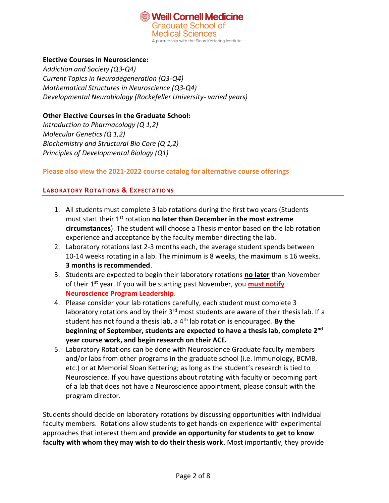

## **Elective Courses in Neuroscience:**

*Addiction and Society (Q3-Q4) Current Topics in Neurodegeneration (Q3-Q4) Mathematical Structures in Neuroscience (Q3-Q4) Developmental Neurobiology (Rockefeller University- varied years)*

## **Other Elective Courses in the Graduate School:**

*Introduction to Pharmacology (Q 1,2) Molecular Genetics (Q 1,2) Biochemistry and Structural Bio Core (Q 1,2) Principles of Developmental Biology (Q1)*

## **Please also view the 2021-2022 course catalog for alternative course offerings**

## **LABORATORY ROTATIONS & EXPECTATIONS**

- 1. All students must complete 3 lab rotations during the first two years (Students must start their 1st rotation **no later than December in the most extreme circumstances**). The student will choose a Thesis mentor based on the lab rotation experience and acceptance by the faculty member directing the lab.
- 2. Laboratory rotations last 2-3 months each, the average student spends between 10-14 weeks rotating in a lab. The minimum is 8 weeks, the maximum is 16 weeks. **3 months is recommended**.
- 3. Students are expected to begin their laboratory rotations **no later** than November of their 1st year. If you will be starting past November, you **must notify Neuroscience Program Leadership**.
- 4. Please consider your lab rotations carefully, each student must complete 3 laboratory rotations and by their  $3^{rd}$  most students are aware of their thesis lab. If a student has not found a thesis lab, a 4th lab rotation is encouraged. **By the beginning of September, students are expected to have a thesis lab, complete 2nd year course work, and begin research on their ACE.**
- 5. Laboratory Rotations can be done with Neuroscience Graduate faculty members and/or labs from other programs in the graduate school (i.e. Immunology, BCMB, etc.) or at Memorial Sloan Kettering; as long as the student's research is tied to Neuroscience. If you have questions about rotating with faculty or becoming part of a lab that does not have a Neuroscience appointment, please consult with the program director.

Students should decide on laboratory rotations by discussing opportunities with individual faculty members. Rotations allow students to get hands-on experience with experimental approaches that interest them and **provide an opportunity for students to get to know faculty with whom they may wish to do their thesis work**. Most importantly, they provide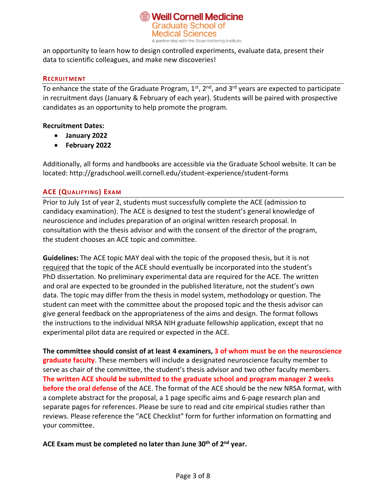

an opportunity to learn how to design controlled experiments, evaluate data, present their data to scientific colleagues, and make new discoveries!

#### **RECRUITMENT**

To enhance the state of the Graduate Program,  $1<sup>st</sup>$ , 2<sup>nd</sup>, and 3<sup>rd</sup> years are expected to participate in recruitment days (January & February of each year). Students will be paired with prospective candidates as an opportunity to help promote the program.

#### **Recruitment Dates:**

- **January 2022**
- **February 2022**

Additionally, all forms and handbooks are accessible via the Graduate School website. It can be located: http://gradschool.weill.cornell.edu/student-experience/student-forms

## **ACE (QUALIFYING) EXAM**

Prior to July 1st of year 2, students must successfully complete the ACE (admission to candidacy examination). The ACE is designed to test the student's general knowledge of neuroscience and includes preparation of an original written research proposal. In consultation with the thesis advisor and with the consent of the director of the program, the student chooses an ACE topic and committee.

**Guidelines:** The ACE topic MAY deal with the topic of the proposed thesis, but it is not required that the topic of the ACE should eventually be incorporated into the student's PhD dissertation. No preliminary experimental data are required for the ACE. The written and oral are expected to be grounded in the published literature, not the student's own data. The topic may differ from the thesis in model system, methodology or question. The student can meet with the committee about the proposed topic and the thesis advisor can give general feedback on the appropriateness of the aims and design. The format follows the instructions to the individual NRSA NIH graduate fellowship application, except that no experimental pilot data are required or expected in the ACE.

**The committee should consist of at least 4 examiners, 3 of whom must be on the neuroscience graduate faculty**. These members will include a designated neuroscience faculty member to serve as chair of the committee, the student's thesis advisor and two other faculty members. **The written ACE should be submitted to the graduate school and program manager 2 weeks before the oral defense** of the ACE. The format of the ACE should be the new NRSA format, with a complete abstract for the proposal, a 1 page specific aims and 6-page research plan and separate pages for references. Please be sure to read and cite empirical studies rather than reviews. Please reference the "ACE Checklist" form for further information on formatting and your committee.

**ACE Exam must be completed no later than June 30th of 2nd year.**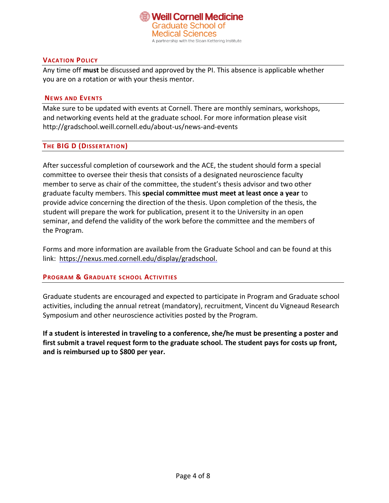

#### **VACATION POLICY**

Any time off **must** be discussed and approved by the PI. This absence is applicable whether you are on a rotation or with your thesis mentor.

#### **NEWS AND EVENTS**

Make sure to be updated with events at Cornell. There are monthly seminars, workshops, and networking events held at the graduate school. For more information please visit http://gradschool.weill.cornell.edu/about-us/news-and-events

## **THE BIG D (DISSERTATION)**

After successful completion of coursework and the ACE, the student should form a special committee to oversee their thesis that consists of a designated neuroscience faculty member to serve as chair of the committee, the student's thesis advisor and two other graduate faculty members. This **special committee must meet at least once a year** to provide advice concerning the direction of the thesis. Upon completion of the thesis, the student will prepare the work for publication, present it to the University in an open seminar, and defend the validity of the work before the committee and the members of the Program.

Forms and more information are available from the Graduate School and can be found at this link: [https://nexus.med.cornell.edu/display/gradschool.](https://nexus.med.cornell.edu/display/gradschool)

## **PROGRAM & GRADUATE SCHOOL ACTIVITIES**

Graduate students are encouraged and expected to participate in Program and Graduate school activities, including the annual retreat (mandatory), recruitment, Vincent du Vigneaud Research Symposium and other neuroscience activities posted by the Program.

**If a student is interested in traveling to a conference, she/he must be presenting a poster and first submit a travel request form to the graduate school. The student pays for costs up front, and is reimbursed up to \$800 per year.**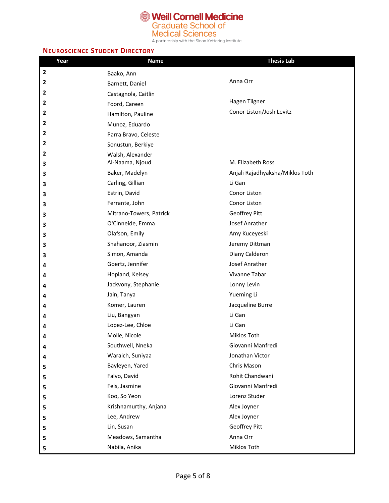

#### A partnership with the Sloan Kettering Institute

#### **NEUROSCIENCE STUDENT DIRECTORY**

| Year           | <b>Name</b>             | <b>Thesis Lab</b>               |
|----------------|-------------------------|---------------------------------|
| $\overline{2}$ | Baako, Ann              |                                 |
| $\mathbf{2}$   | Barnett, Daniel         | Anna Orr                        |
| $\overline{2}$ | Castagnola, Caitlin     |                                 |
| 2              | Foord, Careen           | Hagen Tilgner                   |
| $\overline{2}$ | Hamilton, Pauline       | Conor Liston/Josh Levitz        |
| $\overline{2}$ | Munoz, Eduardo          |                                 |
| 2              | Parra Bravo, Celeste    |                                 |
| $\overline{2}$ | Sonustun, Berkiye       |                                 |
| 2              | Walsh, Alexander        |                                 |
| 3              | Al-Naama, Njoud         | M. Elizabeth Ross               |
| 3              | Baker, Madelyn          | Anjali Rajadhyaksha/Miklos Toth |
| 3              | Carling, Gillian        | Li Gan                          |
| 3              | Estrin, David           | Conor Liston                    |
| 3              | Ferrante, John          | Conor Liston                    |
| 3              | Mitrano-Towers, Patrick | Geoffrey Pitt                   |
| 3              | O'Cinneide, Emma        | Josef Anrather                  |
| 3              | Olafson, Emily          | Amy Kuceyeski                   |
| 3              | Shahanoor, Ziasmin      | Jeremy Dittman                  |
| 3              | Simon, Amanda           | Diany Calderon                  |
| 4              | Goertz, Jennifer        | Josef Anrather                  |
| 4              | Hopland, Kelsey         | Vivanne Tabar                   |
| 4              | Jackvony, Stephanie     | Lonny Levin                     |
| 4              | Jain, Tanya             | Yueming Li                      |
| 4              | Komer, Lauren           | Jacqueline Burre                |
| 4              | Liu, Bangyan            | Li Gan                          |
| 4              | Lopez-Lee, Chloe        | Li Gan                          |
| 4              | Molle, Nicole           | Miklos Toth                     |
| 4              | Southwell, Nneka        | Giovanni Manfredi               |
| 4              | Waraich, Suniyaa        | Jonathan Victor                 |
| 5              | Bayleyen, Yared         | Chris Mason                     |
| 5              | Falvo, David            | Rohit Chandwani                 |
| 5              | Fels, Jasmine           | Giovanni Manfredi               |
| 5              | Koo, So Yeon            | Lorenz Studer                   |
| 5              | Krishnamurthy, Anjana   | Alex Joyner                     |
| 5              | Lee, Andrew             | Alex Joyner                     |
| 5              | Lin, Susan              | Geoffrey Pitt                   |
| 5              | Meadows, Samantha       | Anna Orr                        |
| 5              | Nabila, Anika           | Miklos Toth                     |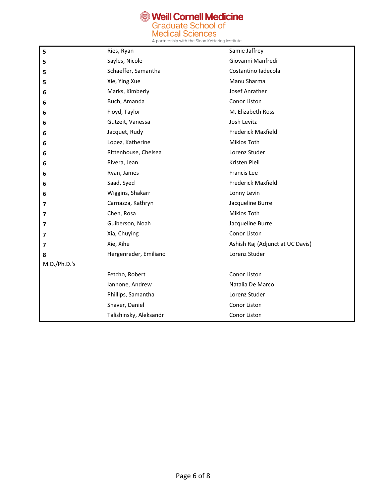

| 5            | Ries, Ryan             | Samie Jaffrey                    |
|--------------|------------------------|----------------------------------|
| 5            | Sayles, Nicole         | Giovanni Manfredi                |
| 5            | Schaeffer, Samantha    | Costantino ladecola              |
| 5            | Xie, Ying Xue          | Manu Sharma                      |
| 6            | Marks, Kimberly        | Josef Anrather                   |
| 6            | Buch, Amanda           | Conor Liston                     |
| 6            | Floyd, Taylor          | M. Elizabeth Ross                |
| 6            | Gutzeit, Vanessa       | Josh Levitz                      |
| 6            | Jacquet, Rudy          | <b>Frederick Maxfield</b>        |
| 6            | Lopez, Katherine       | Miklos Toth                      |
| 6            | Rittenhouse, Chelsea   | Lorenz Studer                    |
| 6            | Rivera, Jean           | Kristen Pleil                    |
| 6            | Ryan, James            | <b>Francis Lee</b>               |
| 6            | Saad, Syed             | <b>Frederick Maxfield</b>        |
| 6            | Wiggins, Shakarr       | Lonny Levin                      |
| 7            | Carnazza, Kathryn      | Jacqueline Burre                 |
| 7            | Chen, Rosa             | Miklos Toth                      |
| 7            | Guiberson, Noah        | Jacqueline Burre                 |
| 7            | Xia, Chuying           | Conor Liston                     |
| 7            | Xie, Xihe              | Ashish Raj (Adjunct at UC Davis) |
| 8            | Hergenreder, Emiliano  | Lorenz Studer                    |
| M.D./Ph.D.'s |                        |                                  |
|              | Fetcho, Robert         | Conor Liston                     |
|              | Iannone, Andrew        | Natalia De Marco                 |
|              | Phillips, Samantha     | Lorenz Studer                    |
|              | Shaver, Daniel         | Conor Liston                     |
|              | Talishinsky, Aleksandr | Conor Liston                     |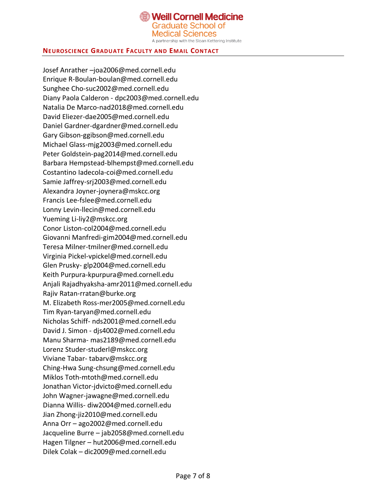

#### **NEUROSCIENCE GRADUATE FACULTY AND EMAIL CONTACT**

Josef Anrather –[joa2006@med.cornell.edu](mailto:–joa2006@med.cornell.edu) Enrique [R-Boulan-boulan@med.cornell.edu](mailto:R-Boulan-boulan@med.cornell.edu) Sunghee Cho-suc2002@med.cornell.edu Diany Paola Calderon - dpc2003@med.cornell.edu Natalia De Marco-nad2018@med.cornell.edu David Eliezer-dae2005@med.cornell.edu Daniel [Gardner-dgardner@med.cornell.edu](mailto:Gardner-dgardner@med.cornell.edu) Gary [Gibson-ggibson@med.cornell.edu](mailto:Gibson-ggibson@med.cornell.edu) Michael Glass-mjg2003@med.cornell.edu Peter [Goldstein-pag2014@med.cornell.edu](mailto:Goldstein-pag2014@med.cornell.edu) Barbara [Hempstead-blhempst@med.cornell.edu](mailto:Hempstead-blhempst@med.cornell.edu) Costantino [Iadecola-coi@med.cornell.edu](mailto:Iadecola-coi@med.cornell.edu) Samie [Jaffrey-srj2003@med.cornell.edu](mailto:Jaffrey-srj2003@med.cornell.edu) Alexandra [Joyner-joynera@mskcc.org](mailto:Joyner-joynera@mskcc.org) Francis [Lee-fslee@med.cornell.edu](mailto:Lee-fslee@med.cornell.edu) Lonny [Levin-llecin@med.cornell.edu](mailto:Levin-llecin@med.cornell.edu) Yueming Li[-liy2@mskcc.org](mailto:liy2@mskcc.org) Conor Liston-col2004@med.cornell.edu Giovanni [Manfredi-gim2004@med.cornell.edu](mailto:Manfredi-gim2004@med.cornell.edu) Teresa [Milner-tmilner@med.cornell.edu](mailto:Milner-tmilner@med.cornell.edu) Virginia [Pickel-vpickel@med.cornell.edu](mailto:Pickel-vpickel@med.cornell.edu) Glen Prusky- glp2004@med.cornell.edu Keith [Purpura-kpurpura@med.cornell.edu](mailto:Purpura-kpurpura@med.cornell.edu) Anjali Rajadhyaksha-amr2011@med.cornell.edu Rajiv [Ratan-rratan@burke.org](mailto:Ratan-rratan@burke.org) M. Elizabeth [Ross-mer2005@med.cornell.edu](mailto:Ross-mer2005@med.cornell.edu) Tim [Ryan-taryan@med.cornell.edu](mailto:Ryan-taryan@med.cornell.edu) Nicholas Schiff- [nds2001@med.cornell.edu](mailto:nds2001@med.cornell.edu) David J. Simon - djs4002@med.cornell.edu Manu Sharma- [mas2189@med.cornell.edu](mailto:mas2189@med.cornell.edu) Lorenz [Studer-studerl@mskcc.org](mailto:Studer-studerl@mskcc.org) Viviane Tabar- tabarv@mskcc.org Ching-Hwa [Sung-chsung@med.cornell.edu](mailto:Sung-chsung@med.cornell.edu) Miklos [Toth-mtoth@med.cornell.edu](mailto:Toth-mtoth@med.cornell.edu) Jonathan [Victor-jdvicto@med.cornell.edu](mailto:Victor-jdvicto@med.cornell.edu) John [Wagner-jawagne@med.cornell.edu](mailto:Wagner-jawagne@med.cornell.edu) Dianna Willis- [diw2004@med.cornell.edu](mailto:diw2004@med.cornell.edu) Jian [Zhong-jiz2010@med.cornell.edu](mailto:Zhong-jiz2010@med.cornell.edu) Anna Orr – [ago2002@med.cornell.edu](mailto:ago2002@med.cornell.edu) Jacqueline Burre – jab2058@med.cornell.edu Hagen Tilgner – [hut2006@med.cornell.edu](mailto:hut2006@med.cornell.edu) Dilek Colak – [dic2009@med.cornell.edu](mailto:dic2009@med.cornell.edu)